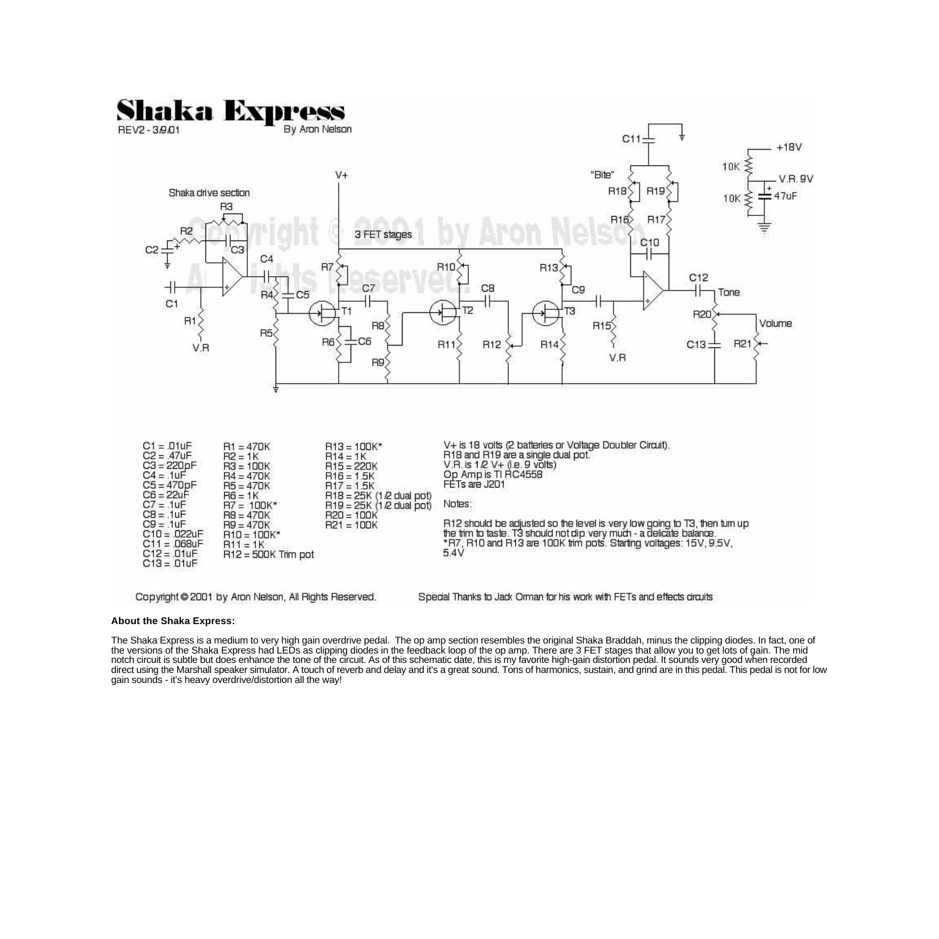

## **About the Shaka Express:**

The Shaka Express is a medium to very high gain overdrive pedal. The op amp section resembles the original Shaka Braddah, minus the clipping diodes. In fact, one of the versions of the Shaka Express had LEDs as clipping diodes in the feedback loop of the op amp. There are 3 FET stages that allow you to get lots of gain. The mid notch circuit is subtle but does enhance the tone of the circuit. As of this schematic date, this is my favorite high-gain distortion pedal. It sounds very good when recorded direct using the Marshall speaker simulator. A touch of reverb and delay and it's a great sound. Tons of harmonics, sustain, and grind are in this pedal. This pedal is not for low gain sounds - it's heavy overdrive/distortion all the way!